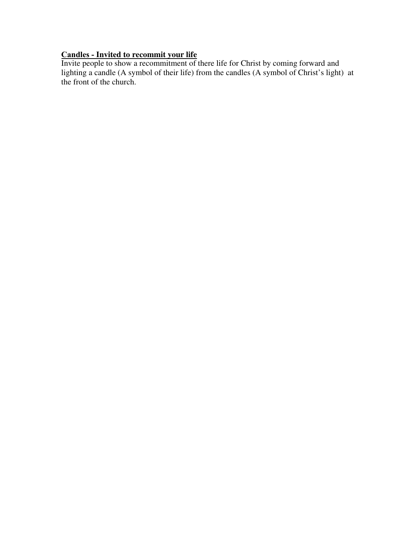## **Candles - Invited to recommit your life**

Invite people to show a recommitment of there life for Christ by coming forward and lighting a candle (A symbol of their life) from the candles (A symbol of Christ's light) at the front of the church.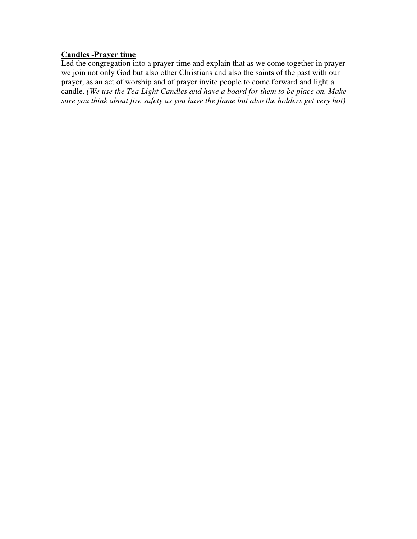# **Candles -Prayer time**

Led the congregation into a prayer time and explain that as we come together in prayer we join not only God but also other Christians and also the saints of the past with our prayer, as an act of worship and of prayer invite people to come forward and light a candle. *(We use the Tea Light Candles and have a board for them to be place on. Make sure you think about fire safety as you have the flame but also the holders get very hot)*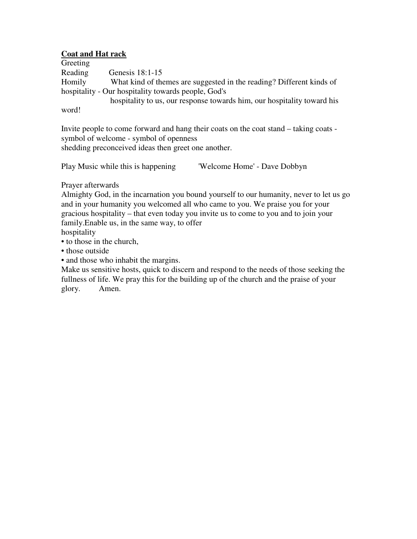### **Coat and Hat rack**

Greeting Reading Genesis 18:1-15 Homily What kind of themes are suggested in the reading? Different kinds of hospitality - Our hospitality towards people, God's hospitality to us, our response towards him, our hospitality toward his

word!

Invite people to come forward and hang their coats on the coat stand – taking coats symbol of welcome - symbol of openness shedding preconceived ideas then greet one another.

Play Music while this is happening 'Welcome Home' - Dave Dobbyn

Prayer afterwards

Almighty God, in the incarnation you bound yourself to our humanity, never to let us go and in your humanity you welcomed all who came to you. We praise you for your gracious hospitality – that even today you invite us to come to you and to join your family.Enable us, in the same way, to offer

hospitality

• to those in the church,

• those outside

• and those who inhabit the margins.

Make us sensitive hosts, quick to discern and respond to the needs of those seeking the fullness of life. We pray this for the building up of the church and the praise of your glory. Amen.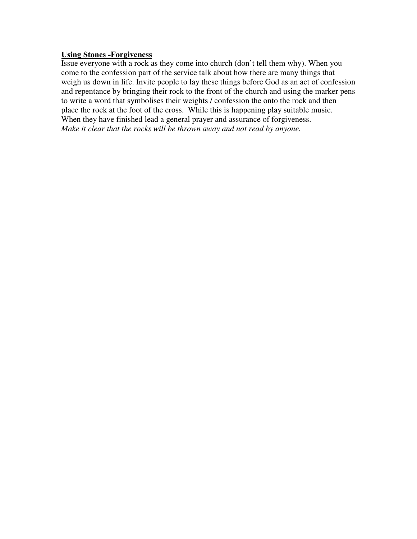#### **Using Stones -Forgiveness**

Issue everyone with a rock as they come into church (don't tell them why). When you come to the confession part of the service talk about how there are many things that weigh us down in life. Invite people to lay these things before God as an act of confession and repentance by bringing their rock to the front of the church and using the marker pens to write a word that symbolises their weights / confession the onto the rock and then place the rock at the foot of the cross. While this is happening play suitable music. When they have finished lead a general prayer and assurance of forgiveness. *Make it clear that the rocks will be thrown away and not read by anyone.*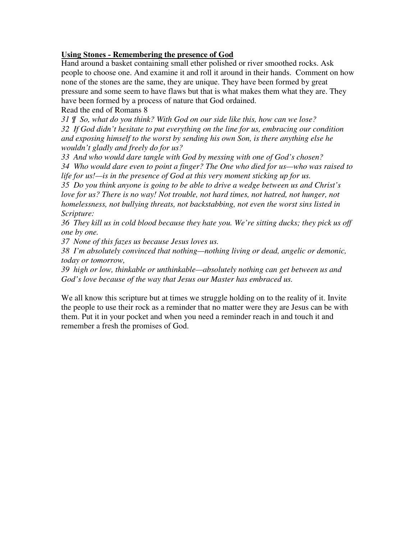## **Using Stones - Remembering the presence of God**

Hand around a basket containing small ether polished or river smoothed rocks. Ask people to choose one. And examine it and roll it around in their hands. Comment on how none of the stones are the same, they are unique. They have been formed by great pressure and some seem to have flaws but that is what makes them what they are. They have been formed by a process of nature that God ordained.

Read the end of Romans 8

*31 ¶ So, what do you think? With God on our side like this, how can we lose? 32 If God didn't hesitate to put everything on the line for us, embracing our condition and exposing himself to the worst by sending his own Son, is there anything else he wouldn't gladly and freely do for us?* 

*33 And who would dare tangle with God by messing with one of God's chosen?* 

*34 Who would dare even to point a finger? The One who died for us—who was raised to life for us!—is in the presence of God at this very moment sticking up for us.* 

*35 Do you think anyone is going to be able to drive a wedge between us and Christ's love for us? There is no way! Not trouble, not hard times, not hatred, not hunger, not homelessness, not bullying threats, not backstabbing, not even the worst sins listed in Scripture:* 

*36 They kill us in cold blood because they hate you. We're sitting ducks; they pick us off one by one.* 

*37 None of this fazes us because Jesus loves us.* 

*38 I'm absolutely convinced that nothing—nothing living or dead, angelic or demonic, today or tomorrow,* 

*39 high or low, thinkable or unthinkable—absolutely nothing can get between us and God's love because of the way that Jesus our Master has embraced us.* 

We all know this scripture but at times we struggle holding on to the reality of it. Invite the people to use their rock as a reminder that no matter were they are Jesus can be with them. Put it in your pocket and when you need a reminder reach in and touch it and remember a fresh the promises of God.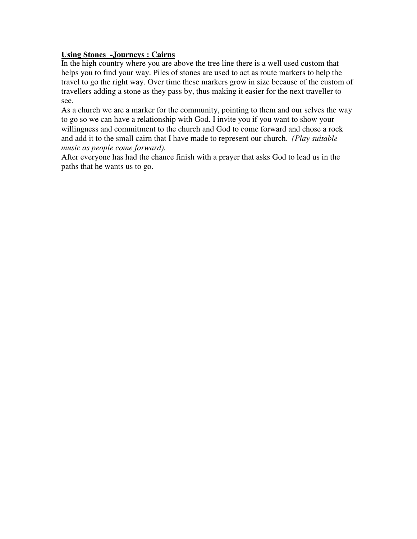### **Using Stones -Journeys : Cairns**

In the high country where you are above the tree line there is a well used custom that helps you to find your way. Piles of stones are used to act as route markers to help the travel to go the right way. Over time these markers grow in size because of the custom of travellers adding a stone as they pass by, thus making it easier for the next traveller to see.

As a church we are a marker for the community, pointing to them and our selves the way to go so we can have a relationship with God. I invite you if you want to show your willingness and commitment to the church and God to come forward and chose a rock and add it to the small cairn that I have made to represent our church. *(Play suitable music as people come forward).*

After everyone has had the chance finish with a prayer that asks God to lead us in the paths that he wants us to go.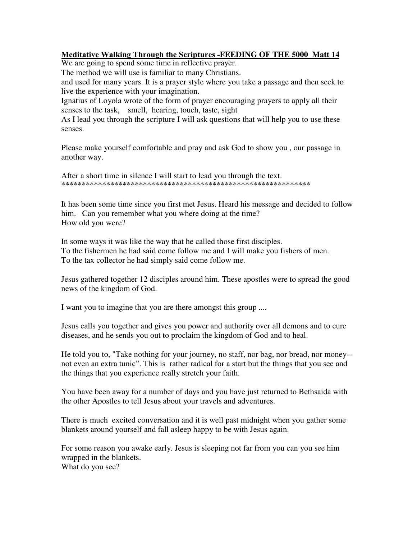### **Meditative Walking Through the Scriptures -FEEDING OF THE 5000 Matt 14**

We are going to spend some time in reflective prayer.

The method we will use is familiar to many Christians.

and used for many years. It is a prayer style where you take a passage and then seek to live the experience with your imagination.

Ignatius of Loyola wrote of the form of prayer encouraging prayers to apply all their senses to the task, smell, hearing, touch, taste, sight

As I lead you through the scripture I will ask questions that will help you to use these senses.

Please make yourself comfortable and pray and ask God to show you , our passage in another way.

After a short time in silence I will start to lead you through the text. \*\*\*\*\*\*\*\*\*\*\*\*\*\*\*\*\*\*\*\*\*\*\*\*\*\*\*\*\*\*\*\*\*\*\*\*\*\*\*\*\*\*\*\*\*\*\*\*\*\*\*\*\*\*\*\*\*\*\*\*\*

It has been some time since you first met Jesus. Heard his message and decided to follow him. Can you remember what you where doing at the time? How old you were?

In some ways it was like the way that he called those first disciples. To the fishermen he had said come follow me and I will make you fishers of men. To the tax collector he had simply said come follow me.

Jesus gathered together 12 disciples around him. These apostles were to spread the good news of the kingdom of God.

I want you to imagine that you are there amongst this group ....

Jesus calls you together and gives you power and authority over all demons and to cure diseases, and he sends you out to proclaim the kingdom of God and to heal.

He told you to, "Take nothing for your journey, no staff, nor bag, nor bread, nor money- not even an extra tunic". This is rather radical for a start but the things that you see and the things that you experience really stretch your faith.

You have been away for a number of days and you have just returned to Bethsaida with the other Apostles to tell Jesus about your travels and adventures.

There is much excited conversation and it is well past midnight when you gather some blankets around yourself and fall asleep happy to be with Jesus again.

For some reason you awake early. Jesus is sleeping not far from you can you see him wrapped in the blankets. What do you see?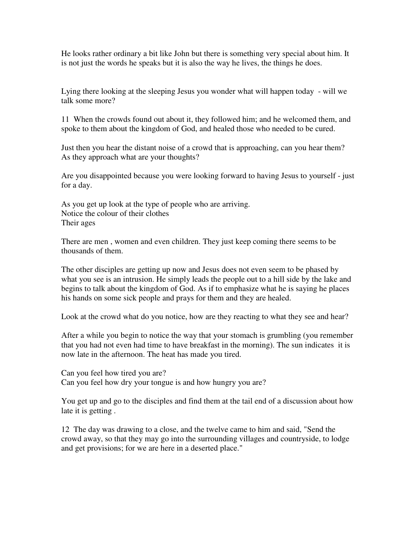He looks rather ordinary a bit like John but there is something very special about him. It is not just the words he speaks but it is also the way he lives, the things he does.

Lying there looking at the sleeping Jesus you wonder what will happen today - will we talk some more?

11 When the crowds found out about it, they followed him; and he welcomed them, and spoke to them about the kingdom of God, and healed those who needed to be cured.

Just then you hear the distant noise of a crowd that is approaching, can you hear them? As they approach what are your thoughts?

Are you disappointed because you were looking forward to having Jesus to yourself - just for a day.

As you get up look at the type of people who are arriving. Notice the colour of their clothes Their ages

There are men , women and even children. They just keep coming there seems to be thousands of them.

The other disciples are getting up now and Jesus does not even seem to be phased by what you see is an intrusion. He simply leads the people out to a hill side by the lake and begins to talk about the kingdom of God. As if to emphasize what he is saying he places his hands on some sick people and prays for them and they are healed.

Look at the crowd what do you notice, how are they reacting to what they see and hear?

After a while you begin to notice the way that your stomach is grumbling (you remember that you had not even had time to have breakfast in the morning). The sun indicates it is now late in the afternoon. The heat has made you tired.

Can you feel how tired you are? Can you feel how dry your tongue is and how hungry you are?

You get up and go to the disciples and find them at the tail end of a discussion about how late it is getting .

12 The day was drawing to a close, and the twelve came to him and said, "Send the crowd away, so that they may go into the surrounding villages and countryside, to lodge and get provisions; for we are here in a deserted place."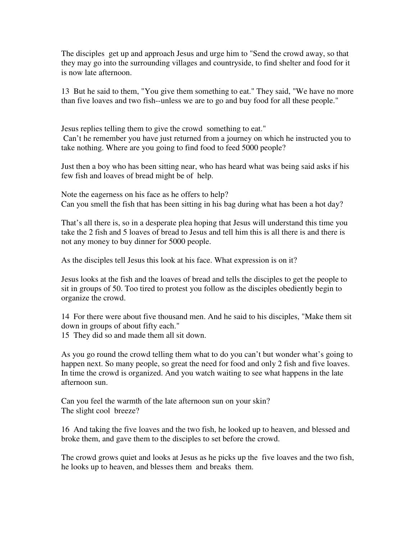The disciples get up and approach Jesus and urge him to "Send the crowd away, so that they may go into the surrounding villages and countryside, to find shelter and food for it is now late afternoon.

13 But he said to them, "You give them something to eat." They said, "We have no more than five loaves and two fish--unless we are to go and buy food for all these people."

Jesus replies telling them to give the crowd something to eat." Can't he remember you have just returned from a journey on which he instructed you to take nothing. Where are you going to find food to feed 5000 people?

Just then a boy who has been sitting near, who has heard what was being said asks if his few fish and loaves of bread might be of help.

Note the eagerness on his face as he offers to help? Can you smell the fish that has been sitting in his bag during what has been a hot day?

That's all there is, so in a desperate plea hoping that Jesus will understand this time you take the 2 fish and 5 loaves of bread to Jesus and tell him this is all there is and there is not any money to buy dinner for 5000 people.

As the disciples tell Jesus this look at his face. What expression is on it?

Jesus looks at the fish and the loaves of bread and tells the disciples to get the people to sit in groups of 50. Too tired to protest you follow as the disciples obediently begin to organize the crowd.

14 For there were about five thousand men. And he said to his disciples, "Make them sit down in groups of about fifty each."

15 They did so and made them all sit down.

As you go round the crowd telling them what to do you can't but wonder what's going to happen next. So many people, so great the need for food and only 2 fish and five loaves. In time the crowd is organized. And you watch waiting to see what happens in the late afternoon sun.

Can you feel the warmth of the late afternoon sun on your skin? The slight cool breeze?

16 And taking the five loaves and the two fish, he looked up to heaven, and blessed and broke them, and gave them to the disciples to set before the crowd.

The crowd grows quiet and looks at Jesus as he picks up the five loaves and the two fish, he looks up to heaven, and blesses them and breaks them.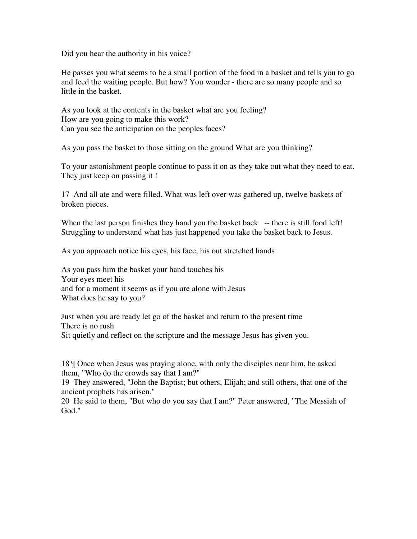Did you hear the authority in his voice?

He passes you what seems to be a small portion of the food in a basket and tells you to go and feed the waiting people. But how? You wonder - there are so many people and so little in the basket.

As you look at the contents in the basket what are you feeling? How are you going to make this work? Can you see the anticipation on the peoples faces?

As you pass the basket to those sitting on the ground What are you thinking?

To your astonishment people continue to pass it on as they take out what they need to eat. They just keep on passing it !

17 And all ate and were filled. What was left over was gathered up, twelve baskets of broken pieces.

When the last person finishes they hand you the basket back -- there is still food left! Struggling to understand what has just happened you take the basket back to Jesus.

As you approach notice his eyes, his face, his out stretched hands

As you pass him the basket your hand touches his Your eyes meet his and for a moment it seems as if you are alone with Jesus What does he say to you?

Just when you are ready let go of the basket and return to the present time There is no rush Sit quietly and reflect on the scripture and the message Jesus has given you.

18 ¶ Once when Jesus was praying alone, with only the disciples near him, he asked them, "Who do the crowds say that I am?"

19 They answered, "John the Baptist; but others, Elijah; and still others, that one of the ancient prophets has arisen."

20 He said to them, "But who do you say that I am?" Peter answered, "The Messiah of God."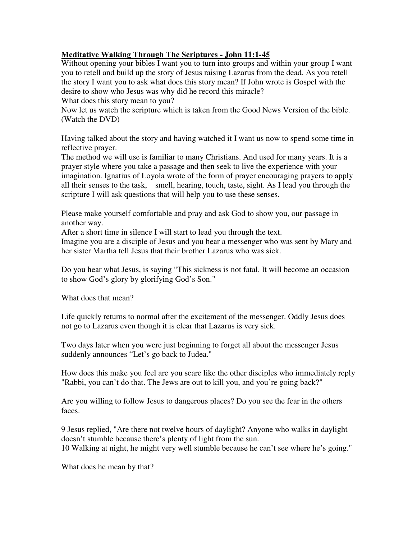## **Meditative Walking Through The Scriptures - John 11:1-45**

Without opening your bibles I want you to turn into groups and within your group I want you to retell and build up the story of Jesus raising Lazarus from the dead. As you retell the story I want you to ask what does this story mean? If John wrote is Gospel with the desire to show who Jesus was why did he record this miracle? What does this story mean to you?

Now let us watch the scripture which is taken from the Good News Version of the bible. (Watch the DVD)

Having talked about the story and having watched it I want us now to spend some time in reflective prayer.

The method we will use is familiar to many Christians. And used for many years. It is a prayer style where you take a passage and then seek to live the experience with your imagination. Ignatius of Loyola wrote of the form of prayer encouraging prayers to apply all their senses to the task, smell, hearing, touch, taste, sight. As I lead you through the scripture I will ask questions that will help you to use these senses.

Please make yourself comfortable and pray and ask God to show you, our passage in another way.

After a short time in silence I will start to lead you through the text.

Imagine you are a disciple of Jesus and you hear a messenger who was sent by Mary and her sister Martha tell Jesus that their brother Lazarus who was sick.

Do you hear what Jesus, is saying "This sickness is not fatal. It will become an occasion to show God's glory by glorifying God's Son."

What does that mean?

Life quickly returns to normal after the excitement of the messenger. Oddly Jesus does not go to Lazarus even though it is clear that Lazarus is very sick.

Two days later when you were just beginning to forget all about the messenger Jesus suddenly announces "Let's go back to Judea."

How does this make you feel are you scare like the other disciples who immediately reply "Rabbi, you can't do that. The Jews are out to kill you, and you're going back?"

Are you willing to follow Jesus to dangerous places? Do you see the fear in the others faces.

9 Jesus replied, "Are there not twelve hours of daylight? Anyone who walks in daylight doesn't stumble because there's plenty of light from the sun. 10 Walking at night, he might very well stumble because he can't see where he's going."

What does he mean by that?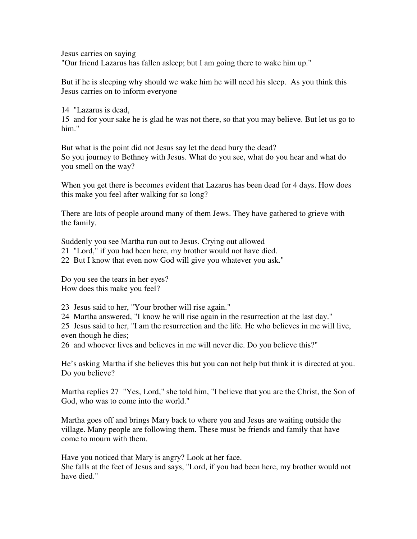Jesus carries on saying

"Our friend Lazarus has fallen asleep; but I am going there to wake him up."

But if he is sleeping why should we wake him he will need his sleep. As you think this Jesus carries on to inform everyone

14 "Lazarus is dead,

15 and for your sake he is glad he was not there, so that you may believe. But let us go to him."

But what is the point did not Jesus say let the dead bury the dead? So you journey to Bethney with Jesus. What do you see, what do you hear and what do you smell on the way?

When you get there is becomes evident that Lazarus has been dead for 4 days. How does this make you feel after walking for so long?

There are lots of people around many of them Jews. They have gathered to grieve with the family.

Suddenly you see Martha run out to Jesus. Crying out allowed

21 "Lord," if you had been here, my brother would not have died.

22 But I know that even now God will give you whatever you ask."

Do you see the tears in her eyes? How does this make you feel?

23 Jesus said to her, "Your brother will rise again."

24 Martha answered, "I know he will rise again in the resurrection at the last day."

25 Jesus said to her, "I am the resurrection and the life. He who believes in me will live, even though he dies;

26 and whoever lives and believes in me will never die. Do you believe this?"

He's asking Martha if she believes this but you can not help but think it is directed at you. Do you believe?

Martha replies 27 "Yes, Lord," she told him, "I believe that you are the Christ, the Son of God, who was to come into the world."

Martha goes off and brings Mary back to where you and Jesus are waiting outside the village. Many people are following them. These must be friends and family that have come to mourn with them.

Have you noticed that Mary is angry? Look at her face. She falls at the feet of Jesus and says, "Lord, if you had been here, my brother would not have died."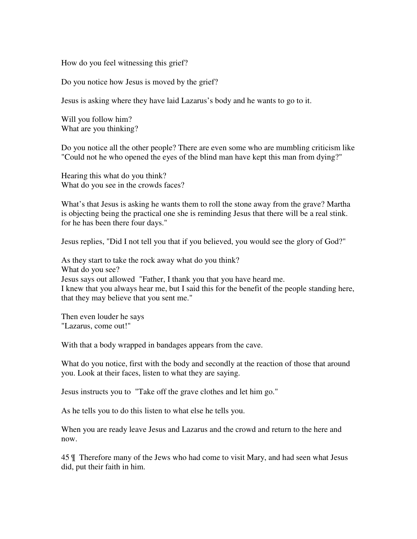How do you feel witnessing this grief?

Do you notice how Jesus is moved by the grief?

Jesus is asking where they have laid Lazarus's body and he wants to go to it.

Will you follow him? What are you thinking?

Do you notice all the other people? There are even some who are mumbling criticism like "Could not he who opened the eyes of the blind man have kept this man from dying?"

Hearing this what do you think? What do you see in the crowds faces?

What's that Jesus is asking he wants them to roll the stone away from the grave? Martha is objecting being the practical one she is reminding Jesus that there will be a real stink. for he has been there four days."

Jesus replies, "Did I not tell you that if you believed, you would see the glory of God?"

As they start to take the rock away what do you think? What do you see? Jesus says out allowed "Father, I thank you that you have heard me. I knew that you always hear me, but I said this for the benefit of the people standing here, that they may believe that you sent me."

Then even louder he says "Lazarus, come out!"

With that a body wrapped in bandages appears from the cave.

What do you notice, first with the body and secondly at the reaction of those that around you. Look at their faces, listen to what they are saying.

Jesus instructs you to "Take off the grave clothes and let him go."

As he tells you to do this listen to what else he tells you.

When you are ready leave Jesus and Lazarus and the crowd and return to the here and now.

45 ¶ Therefore many of the Jews who had come to visit Mary, and had seen what Jesus did, put their faith in him.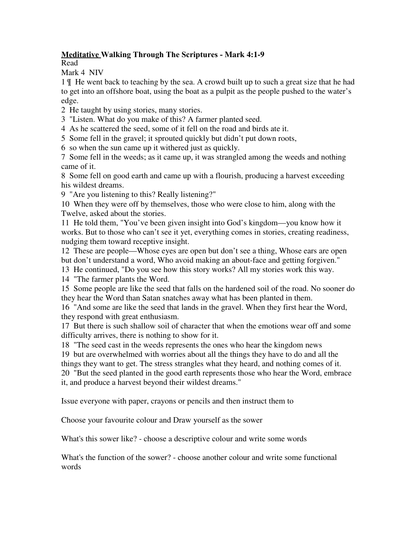## **Meditative Walking Through The Scriptures - Mark 4:1-9**

Read

Mark 4 NIV

1 ¶ He went back to teaching by the sea. A crowd built up to such a great size that he had to get into an offshore boat, using the boat as a pulpit as the people pushed to the water's edge.

2 He taught by using stories, many stories.

3 "Listen. What do you make of this? A farmer planted seed.

4 As he scattered the seed, some of it fell on the road and birds ate it.

5 Some fell in the gravel; it sprouted quickly but didn't put down roots,

6 so when the sun came up it withered just as quickly.

7 Some fell in the weeds; as it came up, it was strangled among the weeds and nothing came of it.

8 Some fell on good earth and came up with a flourish, producing a harvest exceeding his wildest dreams.

9 "Are you listening to this? Really listening?"

10 When they were off by themselves, those who were close to him, along with the Twelve, asked about the stories.

11 He told them, "You've been given insight into God's kingdom—you know how it works. But to those who can't see it yet, everything comes in stories, creating readiness, nudging them toward receptive insight.

12 These are people—Whose eyes are open but don't see a thing, Whose ears are open but don't understand a word, Who avoid making an about-face and getting forgiven."

13 He continued, "Do you see how this story works? All my stories work this way.

14 "The farmer plants the Word.

15 Some people are like the seed that falls on the hardened soil of the road. No sooner do they hear the Word than Satan snatches away what has been planted in them.

16 "And some are like the seed that lands in the gravel. When they first hear the Word, they respond with great enthusiasm.

17 But there is such shallow soil of character that when the emotions wear off and some difficulty arrives, there is nothing to show for it.

18 "The seed cast in the weeds represents the ones who hear the kingdom news

19 but are overwhelmed with worries about all the things they have to do and all the things they want to get. The stress strangles what they heard, and nothing comes of it. 20 "But the seed planted in the good earth represents those who hear the Word, embrace it, and produce a harvest beyond their wildest dreams."

Issue everyone with paper, crayons or pencils and then instruct them to

Choose your favourite colour and Draw yourself as the sower

What's this sower like? - choose a descriptive colour and write some words

What's the function of the sower? - choose another colour and write some functional words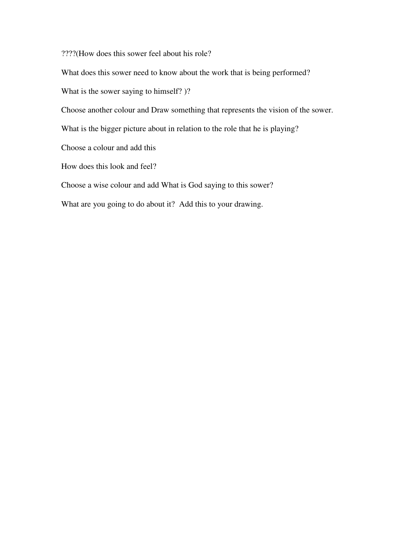????(How does this sower feel about his role?

What does this sower need to know about the work that is being performed?

What is the sower saying to himself? )?

Choose another colour and Draw something that represents the vision of the sower.

What is the bigger picture about in relation to the role that he is playing?

Choose a colour and add this

How does this look and feel?

Choose a wise colour and add What is God saying to this sower?

What are you going to do about it? Add this to your drawing.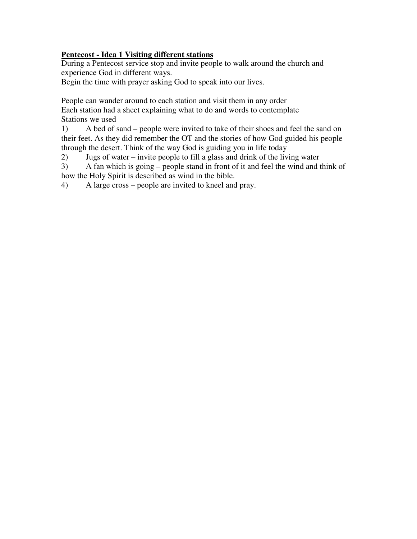## **Pentecost - Idea 1 Visiting different stations**

During a Pentecost service stop and invite people to walk around the church and experience God in different ways.

Begin the time with prayer asking God to speak into our lives.

People can wander around to each station and visit them in any order Each station had a sheet explaining what to do and words to contemplate Stations we used

1) A bed of sand – people were invited to take of their shoes and feel the sand on their feet. As they did remember the OT and the stories of how God guided his people through the desert. Think of the way God is guiding you in life today

2) Jugs of water – invite people to fill a glass and drink of the living water

3) A fan which is going – people stand in front of it and feel the wind and think of how the Holy Spirit is described as wind in the bible.

4) A large cross – people are invited to kneel and pray.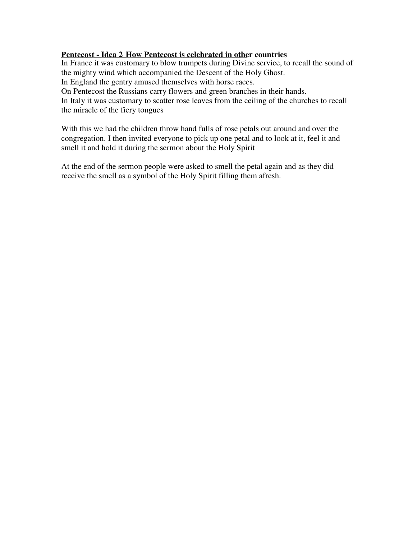#### **Pentecost - Idea 2 How Pentecost is celebrated in other countries**

In France it was customary to blow trumpets during Divine service, to recall the sound of the mighty wind which accompanied the Descent of the Holy Ghost.

In England the gentry amused themselves with horse races.

On Pentecost the Russians carry flowers and green branches in their hands.

In Italy it was customary to scatter rose leaves from the ceiling of the churches to recall the miracle of the fiery tongues

With this we had the children throw hand fulls of rose petals out around and over the congregation. I then invited everyone to pick up one petal and to look at it, feel it and smell it and hold it during the sermon about the Holy Spirit

At the end of the sermon people were asked to smell the petal again and as they did receive the smell as a symbol of the Holy Spirit filling them afresh.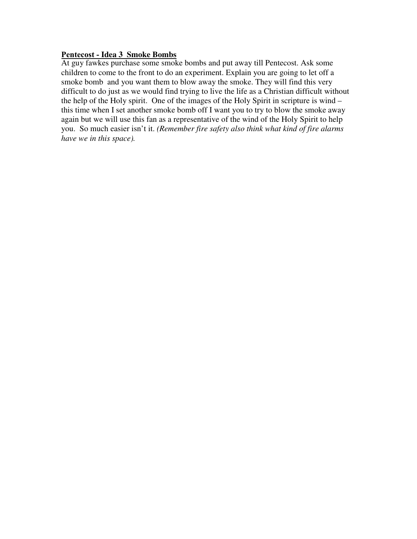#### **Pentecost - Idea 3 Smoke Bombs**

At guy fawkes purchase some smoke bombs and put away till Pentecost. Ask some children to come to the front to do an experiment. Explain you are going to let off a smoke bomb and you want them to blow away the smoke. They will find this very difficult to do just as we would find trying to live the life as a Christian difficult without the help of the Holy spirit. One of the images of the Holy Spirit in scripture is wind – this time when I set another smoke bomb off I want you to try to blow the smoke away again but we will use this fan as a representative of the wind of the Holy Spirit to help you. So much easier isn't it. *(Remember fire safety also think what kind of fire alarms have we in this space).*